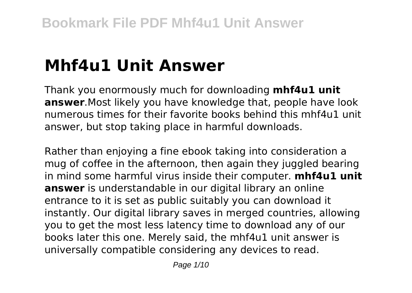# **Mhf4u1 Unit Answer**

Thank you enormously much for downloading **mhf4u1 unit answer**.Most likely you have knowledge that, people have look numerous times for their favorite books behind this mhf4u1 unit answer, but stop taking place in harmful downloads.

Rather than enjoying a fine ebook taking into consideration a mug of coffee in the afternoon, then again they juggled bearing in mind some harmful virus inside their computer. **mhf4u1 unit answer** is understandable in our digital library an online entrance to it is set as public suitably you can download it instantly. Our digital library saves in merged countries, allowing you to get the most less latency time to download any of our books later this one. Merely said, the mhf4u1 unit answer is universally compatible considering any devices to read.

Page 1/10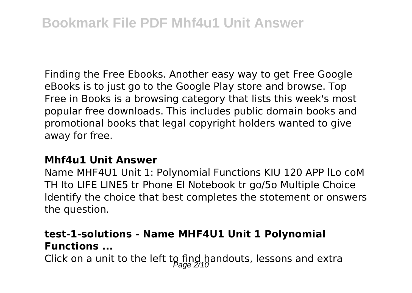Finding the Free Ebooks. Another easy way to get Free Google eBooks is to just go to the Google Play store and browse. Top Free in Books is a browsing category that lists this week's most popular free downloads. This includes public domain books and promotional books that legal copyright holders wanted to give away for free.

#### **Mhf4u1 Unit Answer**

Name MHF4U1 Unit 1: Polynomial Functions KIU 120 APP lLo coM TH Ito LIFE LINE5 tr Phone El Notebook tr go/5o Multiple Choice ldentify the choice that best completes the stotement or onswers the question.

## **test-1-solutions - Name MHF4U1 Unit 1 Polynomial Functions ...**

Click on a unit to the left to find handouts, lessons and extra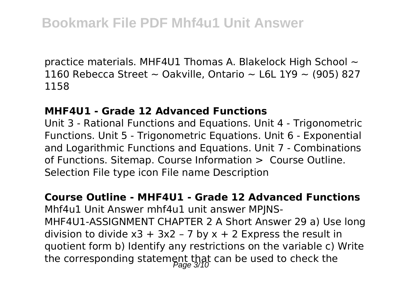practice materials. MHF4U1 Thomas A. Blakelock High School  $\sim$ 1160 Rebecca Street  $\sim$  Oakville, Ontario  $\sim$  L6L 1Y9  $\sim$  (905) 827 1158

#### **MHF4U1 - Grade 12 Advanced Functions**

Unit 3 - Rational Functions and Equations. Unit 4 - Trigonometric Functions. Unit 5 - Trigonometric Equations. Unit 6 - Exponential and Logarithmic Functions and Equations. Unit 7 - Combinations of Functions. Sitemap. Course Information > Course Outline. Selection File type icon File name Description

#### **Course Outline - MHF4U1 - Grade 12 Advanced Functions**

Mhf4u1 Unit Answer mhf4u1 unit answer MPJNS-MHF4U1-ASSIGNMENT CHAPTER 2 A Short Answer 29 a) Use long division to divide  $x3 + 3x2 - 7$  by  $x + 2$  Express the result in quotient form b) Identify any restrictions on the variable c) Write the corresponding statement that can be used to check the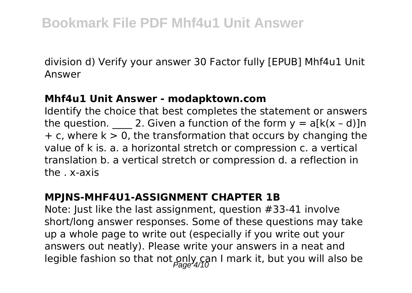division d) Verify your answer 30 Factor fully [EPUB] Mhf4u1 Unit Answer

#### **Mhf4u1 Unit Answer - modapktown.com**

Identify the choice that best completes the statement or answers the question. 2. Given a function of the form  $y = a[k(x - d)]n$  $+ c$ , where  $k > 0$ , the transformation that occurs by changing the value of k is. a. a horizontal stretch or compression c. a vertical translation b. a vertical stretch or compression d. a reflection in the . x-axis

## **MPJNS-MHF4U1-ASSIGNMENT CHAPTER 1B**

Note: Just like the last assignment, question #33-41 involve short/long answer responses. Some of these questions may take up a whole page to write out (especially if you write out your answers out neatly). Please write your answers in a neat and legible fashion so that not  $\frac{\partial n}{\partial q}$  can I mark it, but you will also be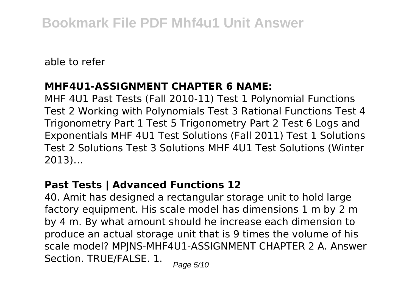able to refer

## **MHF4U1-ASSIGNMENT CHAPTER 6 NAME:**

MHF 4U1 Past Tests (Fall 2010-11) Test 1 Polynomial Functions Test 2 Working with Polynomials Test 3 Rational Functions Test 4 Trigonometry Part 1 Test 5 Trigonometry Part 2 Test 6 Logs and Exponentials MHF 4U1 Test Solutions (Fall 2011) Test 1 Solutions Test 2 Solutions Test 3 Solutions MHF 4U1 Test Solutions (Winter 2013)…

## **Past Tests | Advanced Functions 12**

40. Amit has designed a rectangular storage unit to hold large factory equipment. His scale model has dimensions 1 m by 2 m by 4 m. By what amount should he increase each dimension to produce an actual storage unit that is 9 times the volume of his scale model? MPJNS-MHF4U1-ASSIGNMENT CHAPTER 2 A. Answer Section. TRUE/FALSE. 1. Page 5/10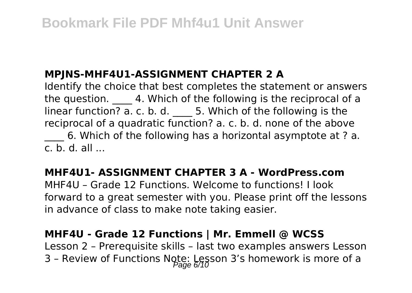# **MPJNS-MHF4U1-ASSIGNMENT CHAPTER 2 A**

Identify the choice that best completes the statement or answers the question. 4. Which of the following is the reciprocal of a linear function? a. c. b. d. \_\_\_\_ 5. Which of the following is the reciprocal of a quadratic function? a. c. b. d. none of the above

6. Which of the following has a horizontal asymptote at ? a.  $c \cdot b \cdot d$  all

# **MHF4U1- ASSIGNMENT CHAPTER 3 A - WordPress.com**

MHF4U – Grade 12 Functions. Welcome to functions! I look forward to a great semester with you. Please print off the lessons in advance of class to make note taking easier.

## **MHF4U - Grade 12 Functions | Mr. Emmell @ WCSS**

Lesson 2 – Prerequisite skills – last two examples answers Lesson 3 - Review of Functions Note: Lesson 3's homework is more of a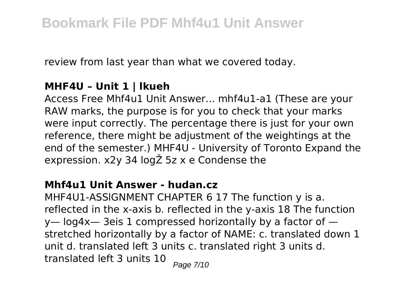review from last year than what we covered today.

## **MHF4U – Unit 1 | lkueh**

Access Free Mhf4u1 Unit Answer... mhf4u1-a1 (These are your RAW marks, the purpose is for you to check that your marks were input correctly. The percentage there is just for your own reference, there might be adjustment of the weightings at the end of the semester.) MHF4U - University of Toronto Expand the expression. x2y 34 logŽ 5z x e Condense the

#### **Mhf4u1 Unit Answer - hudan.cz**

MHF4U1-ASSlGNMENT CHAPTER 6 17 The function y is a. reflected in the x-axis b. reflected in the y-axis 18 The function y— log4x— 3eis 1 compressed horizontally by a factor of stretched horizontally by a factor of NAME: c. translated down 1 unit d. translated left 3 units c. translated right 3 units d. translated left 3 units  $10$   $_{Paqe}$   $7/10$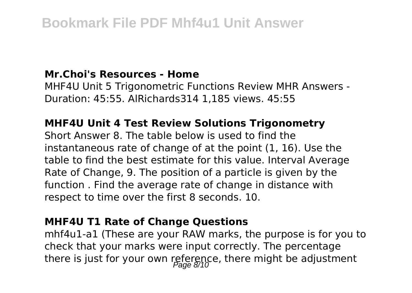#### **Mr.Choi's Resources - Home**

MHF4U Unit 5 Trigonometric Functions Review MHR Answers - Duration: 45:55. AlRichards314 1,185 views. 45:55

## **MHF4U Unit 4 Test Review Solutions Trigonometry**

Short Answer 8. The table below is used to find the instantaneous rate of change of at the point (1, 16). Use the table to find the best estimate for this value. Interval Average Rate of Change, 9. The position of a particle is given by the function . Find the average rate of change in distance with respect to time over the first 8 seconds. 10.

## **MHF4U T1 Rate of Change Questions**

mhf4u1-a1 (These are your RAW marks, the purpose is for you to check that your marks were input correctly. The percentage there is just for your own reference, there might be adjustment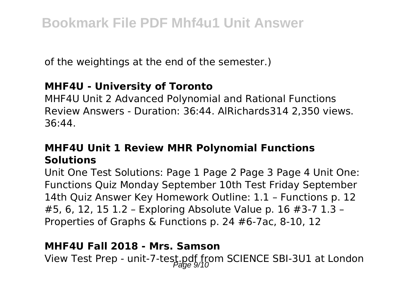of the weightings at the end of the semester.)

## **MHF4U - University of Toronto**

MHF4U Unit 2 Advanced Polynomial and Rational Functions Review Answers - Duration: 36:44. AlRichards314 2,350 views. 36:44.

# **MHF4U Unit 1 Review MHR Polynomial Functions Solutions**

Unit One Test Solutions: Page 1 Page 2 Page 3 Page 4 Unit One: Functions Quiz Monday September 10th Test Friday September 14th Quiz Answer Key Homework Outline: 1.1 – Functions p. 12 #5, 6, 12, 15 1.2 – Exploring Absolute Value p. 16 #3-7 1.3 – Properties of Graphs & Functions p. 24 #6-7ac, 8-10, 12

#### **MHF4U Fall 2018 - Mrs. Samson**

View Test Prep - unit-7-test.pdf from SCIENCE SBI-3U1 at London